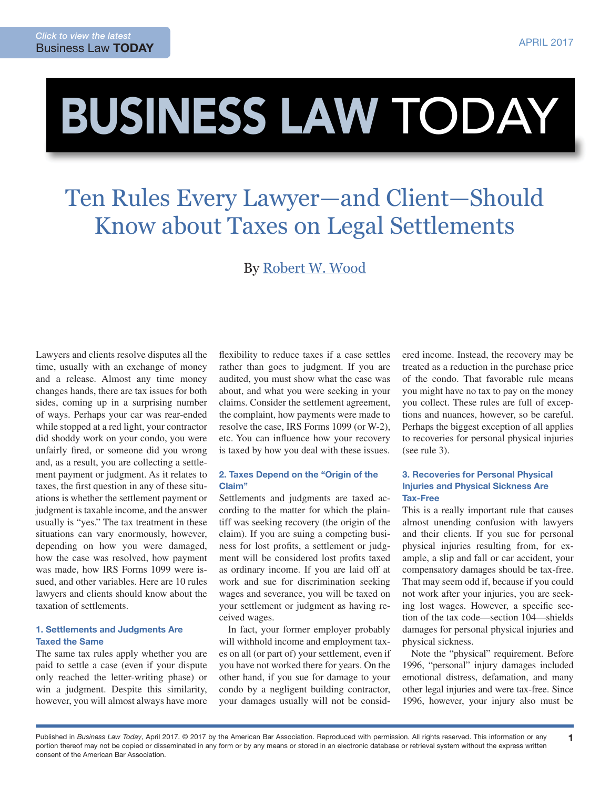# BUSINESS LAW TODAY

## Ten Rules Every Lawyer—and Client—Should Know about Taxes on Legal Settlements

### By [Robert W. Wood](http://www.woodllp.com/Attorneys/rwwbio.htm)

Lawyers and clients resolve disputes all the time, usually with an exchange of money and a release. Almost any time money changes hands, there are tax issues for both sides, coming up in a surprising number of ways. Perhaps your car was rear-ended while stopped at a red light, your contractor did shoddy work on your condo, you were unfairly fired, or someone did you wrong and, as a result, you are collecting a settlement payment or judgment. As it relates to taxes, the first question in any of these situations is whether the settlement payment or judgment is taxable income, and the answer usually is "yes." The tax treatment in these situations can vary enormously, however, depending on how you were damaged, how the case was resolved, how payment was made, how IRS Forms 1099 were issued, and other variables. Here are 10 rules lawyers and clients should know about the taxation of settlements.

#### 1. Settlements and Judgments Are Taxed the Same

The same tax rules apply whether you are paid to settle a case (even if your dispute only reached the letter-writing phase) or win a judgment. Despite this similarity, however, you will almost always have more flexibility to reduce taxes if a case settles rather than goes to judgment. If you are audited, you must show what the case was about, and what you were seeking in your claims. Consider the settlement agreement, the complaint, how payments were made to resolve the case, IRS Forms 1099 (or W-2), etc. You can influence how your recovery is taxed by how you deal with these issues.

#### 2. Taxes Depend on the "Origin of the Claim"

Settlements and judgments are taxed according to the matter for which the plaintiff was seeking recovery (the origin of the claim). If you are suing a competing business for lost profits, a settlement or judgment will be considered lost profits taxed as ordinary income. If you are laid off at work and sue for discrimination seeking wages and severance, you will be taxed on your settlement or judgment as having received wages.

In fact, your former employer probably will withhold income and employment taxes on all (or part of) your settlement, even if you have not worked there for years. On the other hand, if you sue for damage to your condo by a negligent building contractor, your damages usually will not be considered income. Instead, the recovery may be treated as a reduction in the purchase price of the condo. That favorable rule means you might have no tax to pay on the money you collect. These rules are full of exceptions and nuances, however, so be careful. Perhaps the biggest exception of all applies to recoveries for personal physical injuries (see rule 3).

#### 3. Recoveries for Personal Physical Injuries and Physical Sickness Are Tax-Free

This is a really important rule that causes almost unending confusion with lawyers and their clients. If you sue for personal physical injuries resulting from, for example, a slip and fall or car accident, your compensatory damages should be tax-free. That may seem odd if, because if you could not work after your injuries, you are seeking lost wages. However, a specific section of the tax code—section 104—shields damages for personal physical injuries and physical sickness.

Note the "physical" requirement. Before 1996, "personal" injury damages included emotional distress, defamation, and many other legal injuries and were tax-free. Since 1996, however, your injury also must be

1

Published in *Business Law Today*, April 2017. © 2017 by the American Bar Association. Reproduced with permission. All rights reserved. This information or any portion thereof may not be copied or disseminated in any form or by any means or stored in an electronic database or retrieval system without the express written consent of the American Bar Association.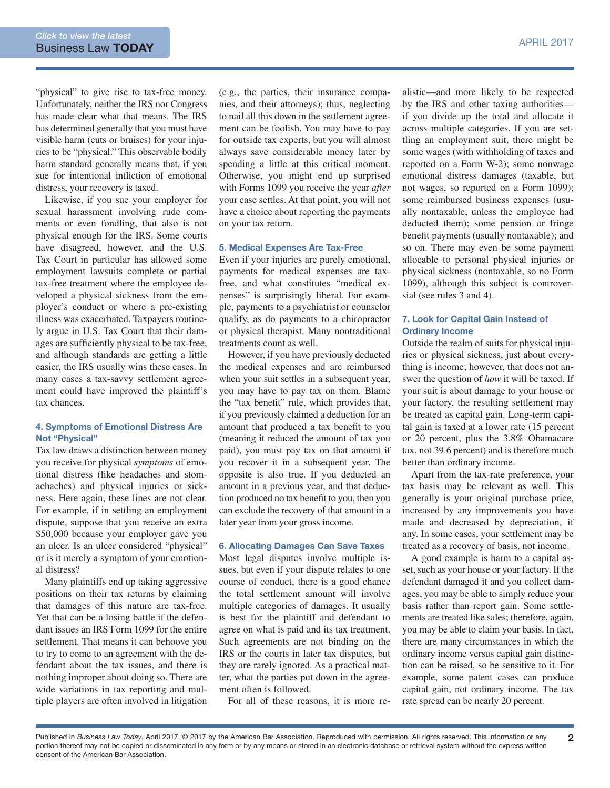"physical" to give rise to tax-free money. Unfortunately, neither the IRS nor Congress has made clear what that means. The IRS has determined generally that you must have visible harm (cuts or bruises) for your injuries to be "physical." This observable bodily harm standard generally means that, if you sue for intentional infliction of emotional distress, your recovery is taxed.

Likewise, if you sue your employer for sexual harassment involving rude comments or even fondling, that also is not physical enough for the IRS. Some courts have disagreed, however, and the U.S. Tax Court in particular has allowed some employment lawsuits complete or partial tax-free treatment where the employee developed a physical sickness from the employer's conduct or where a pre-existing illness was exacerbated. Taxpayers routinely argue in U.S. Tax Court that their damages are sufficiently physical to be tax-free, and although standards are getting a little easier, the IRS usually wins these cases. In many cases a tax-savvy settlement agreement could have improved the plaintiff's tax chances.

#### 4. Symptoms of Emotional Distress Are Not "Physical"

Tax law draws a distinction between money you receive for physical *symptoms* of emotional distress (like headaches and stomachaches) and physical injuries or sickness. Here again, these lines are not clear. For example, if in settling an employment dispute, suppose that you receive an extra \$50,000 because your employer gave you an ulcer. Is an ulcer considered "physical" or is it merely a symptom of your emotional distress?

Many plaintiffs end up taking aggressive positions on their tax returns by claiming that damages of this nature are tax-free. Yet that can be a losing battle if the defendant issues an IRS Form 1099 for the entire settlement. That means it can behoove you to try to come to an agreement with the defendant about the tax issues, and there is nothing improper about doing so. There are wide variations in tax reporting and multiple players are often involved in litigation

(e.g., the parties, their insurance companies, and their attorneys); thus, neglecting to nail all this down in the settlement agreement can be foolish. You may have to pay for outside tax experts, but you will almost always save considerable money later by spending a little at this critical moment. Otherwise, you might end up surprised with Forms 1099 you receive the year *after* your case settles. At that point, you will not have a choice about reporting the payments on your tax return.

#### 5. Medical Expenses Are Tax-Free

Even if your injuries are purely emotional, payments for medical expenses are taxfree, and what constitutes "medical expenses" is surprisingly liberal. For example, payments to a psychiatrist or counselor qualify, as do payments to a chiropractor or physical therapist. Many nontraditional treatments count as well.

However, if you have previously deducted the medical expenses and are reimbursed when your suit settles in a subsequent year, you may have to pay tax on them. Blame the "tax benefit" rule, which provides that, if you previously claimed a deduction for an amount that produced a tax benefit to you (meaning it reduced the amount of tax you paid), you must pay tax on that amount if you recover it in a subsequent year. The opposite is also true. If you deducted an amount in a previous year, and that deduction produced no tax benefit to you, then you can exclude the recovery of that amount in a later year from your gross income.

#### 6. Allocating Damages Can Save Taxes

Most legal disputes involve multiple issues, but even if your dispute relates to one course of conduct, there is a good chance the total settlement amount will involve multiple categories of damages. It usually is best for the plaintiff and defendant to agree on what is paid and its tax treatment. Such agreements are not binding on the IRS or the courts in later tax disputes, but they are rarely ignored. As a practical matter, what the parties put down in the agreement often is followed.

For all of these reasons, it is more re-

alistic—and more likely to be respected by the IRS and other taxing authorities if you divide up the total and allocate it across multiple categories. If you are settling an employment suit, there might be some wages (with withholding of taxes and reported on a Form W-2); some nonwage emotional distress damages (taxable, but not wages, so reported on a Form 1099); some reimbursed business expenses (usually nontaxable, unless the employee had deducted them); some pension or fringe benefit payments (usually nontaxable); and so on. There may even be some payment allocable to personal physical injuries or physical sickness (nontaxable, so no Form 1099), although this subject is controversial (see rules 3 and 4).

#### 7. Look for Capital Gain Instead of Ordinary Income

Outside the realm of suits for physical injuries or physical sickness, just about everything is income; however, that does not answer the question of *how* it will be taxed. If your suit is about damage to your house or your factory, the resulting settlement may be treated as capital gain. Long-term capital gain is taxed at a lower rate (15 percent or 20 percent, plus the 3.8% Obamacare tax, not 39.6 percent) and is therefore much better than ordinary income.

Apart from the tax-rate preference, your tax basis may be relevant as well. This generally is your original purchase price, increased by any improvements you have made and decreased by depreciation, if any. In some cases, your settlement may be treated as a recovery of basis, not income.

A good example is harm to a capital asset, such as your house or your factory. If the defendant damaged it and you collect damages, you may be able to simply reduce your basis rather than report gain. Some settlements are treated like sales; therefore, again, you may be able to claim your basis. In fact, there are many circumstances in which the ordinary income versus capital gain distinction can be raised, so be sensitive to it. For example, some patent cases can produce capital gain, not ordinary income. The tax rate spread can be nearly 20 percent.